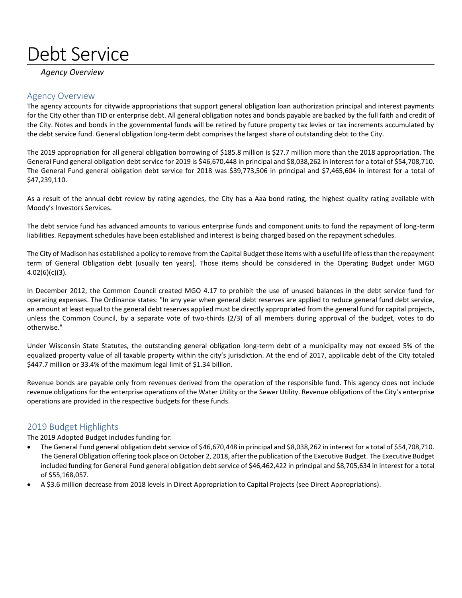# Debt Service

#### *Agency Overview*

### Agency Overview

The agency accounts for citywide appropriations that support general obligation loan authorization principal and interest payments for the City other than TID or enterprise debt. All general obligation notes and bonds payable are backed by the full faith and credit of the City. Notes and bonds in the governmental funds will be retired by future property tax levies or tax increments accumulated by the debt service fund. General obligation long‐term debt comprises the largest share of outstanding debt to the City.

The 2019 appropriation for all general obligation borrowing of \$185.8 million is \$27.7 million more than the 2018 appropriation. The General Fund general obligation debt service for 2019 is \$46,670,448 in principal and \$8,038,262 in interest for a total of \$54,708,710. The General Fund general obligation debt service for 2018 was \$39,773,506 in principal and \$7,465,604 in interest for a total of \$47,239,110.

As a result of the annual debt review by rating agencies, the City has a Aaa bond rating, the highest quality rating available with Moody's Investors Services.

The debt service fund has advanced amounts to various enterprise funds and component units to fund the repayment of long-term liabilities. Repayment schedules have been established and interest is being charged based on the repayment schedules.

The City of Madison has established a policy to remove from the Capital Budget those items with a useful life of less than the repayment term of General Obligation debt (usually ten years). Those items should be considered in the Operating Budget under MGO 4.02(6)(c)(3).

In December 2012, the Common Council created MGO 4.17 to prohibit the use of unused balances in the debt service fund for operating expenses. The Ordinance states: "In any year when general debt reserves are applied to reduce general fund debt service, an amount at least equal to the general debt reserves applied must be directly appropriated from the general fund for capital projects, unless the Common Council, by a separate vote of two-thirds (2/3) of all members during approval of the budget, votes to do otherwise."

Under Wisconsin State Statutes, the outstanding general obligation long-term debt of a municipality may not exceed 5% of the equalized property value of all taxable property within the city's jurisdiction. At the end of 2017, applicable debt of the City totaled \$447.7 million or 33.4% of the maximum legal limit of \$1.34 billion.

Revenue bonds are payable only from revenues derived from the operation of the responsible fund. This agency does not include revenue obligations for the enterprise operations of the Water Utility or the Sewer Utility. Revenue obligations of the City's enterprise operations are provided in the respective budgets for these funds.

### 2019 Budget Highlights

The 2019 Adopted Budget includes funding for:

- The General Fund general obligation debt service of \$46,670,448 in principal and \$8,038,262 in interest for a total of \$54,708,710. The General Obligation offering took place on October 2, 2018, after the publication of the Executive Budget. The Executive Budget included funding for General Fund general obligation debt service of \$46,462,422 in principal and \$8,705,634 in interest for a total of \$55,168,057.
- A \$3.6 million decrease from 2018 levels in Direct Appropriation to Capital Projects (see Direct Appropriations).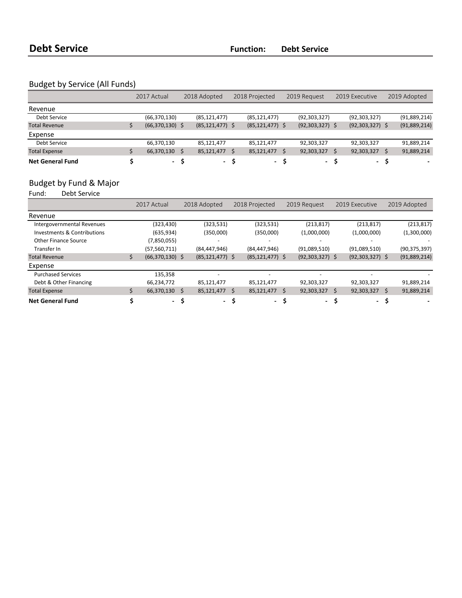## Budget by Service (All Funds)

|                         | 2017 Actual       | 2018 Adopted        | 2018 Projected      | 2019 Request      |  | 2019 Executive      |  | 2019 Adopted |
|-------------------------|-------------------|---------------------|---------------------|-------------------|--|---------------------|--|--------------|
| Revenue                 |                   |                     |                     |                   |  |                     |  |              |
| Debt Service            | (66, 370, 130)    | (85, 121, 477)      | (85, 121, 477)      | (92, 303, 327)    |  | (92, 303, 327)      |  | (91,889,214) |
| <b>Total Revenue</b>    | $(66,370,130)$ \$ | $(85, 121, 477)$ \$ | $(85, 121, 477)$ \$ | $(92,303,327)$ \$ |  | $(92, 303, 327)$ \$ |  | (91,889,214) |
| Expense                 |                   |                     |                     |                   |  |                     |  |              |
| Debt Service            | 66,370,130        | 85,121,477          | 85,121,477          | 92,303,327        |  | 92,303,327          |  | 91,889,214   |
| <b>Total Expense</b>    | 66,370,130        | 85,121,477          | 85,121,477          | 92,303,327        |  | 92,303,327          |  | 91,889,214   |
| <b>Net General Fund</b> | - S               | - S                 | - S                 | - S               |  | $\sim$              |  |              |

# Budget by Fund & Major<br>Fund: Debt Service

.<br>Debt Service

|                             | 2017 Actual       |    | 2018 Adopted             |   | 2018 Projected           |   | 2019 Request             | 2019 Executive           |    | 2019 Adopted   |
|-----------------------------|-------------------|----|--------------------------|---|--------------------------|---|--------------------------|--------------------------|----|----------------|
| Revenue                     |                   |    |                          |   |                          |   |                          |                          |    |                |
| Intergovernmental Revenues  | (323, 430)        |    | (323, 531)               |   | (323, 531)               |   | (213, 817)               | (213, 817)               |    | (213, 817)     |
| Investments & Contributions | (635, 934)        |    | (350,000)                |   | (350,000)                |   | (1,000,000)              | (1,000,000)              |    | (1,300,000)    |
| <b>Other Finance Source</b> | (7,850,055)       |    |                          |   |                          |   | $\overline{\phantom{0}}$ |                          |    |                |
| Transfer In                 | (57, 560, 711)    |    | (84, 447, 946)           |   | (84, 447, 946)           |   | (91,089,510)             | (91,089,510)             |    | (90, 375, 397) |
| <b>Total Revenue</b>        | $(66,370,130)$ \$ |    | $(85, 121, 477)$ \$      |   | $(85, 121, 477)$ \$      |   | $(92,303,327)$ \$        | $(92,303,327)$ \$        |    | (91,889,214)   |
| Expense                     |                   |    |                          |   |                          |   |                          |                          |    |                |
| <b>Purchased Services</b>   | 135,358           |    | $\overline{\phantom{a}}$ |   |                          |   |                          | ٠                        |    |                |
| Debt & Other Financing      | 66,234,772        |    | 85,121,477               |   | 85,121,477               |   | 92,303,327               | 92,303,327               |    | 91,889,214     |
| <b>Total Expense</b>        | 66,370,130 \$     |    | 85,121,477               | Ś | 85,121,477               | Ś | $92,303,327$ \$          | 92,303,327               | Ś. | 91,889,214     |
| <b>Net General Fund</b>     | $\sim$            | .S | - S                      |   | $\overline{\phantom{a}}$ |   | $\blacksquare$           | $\overline{\phantom{a}}$ |    |                |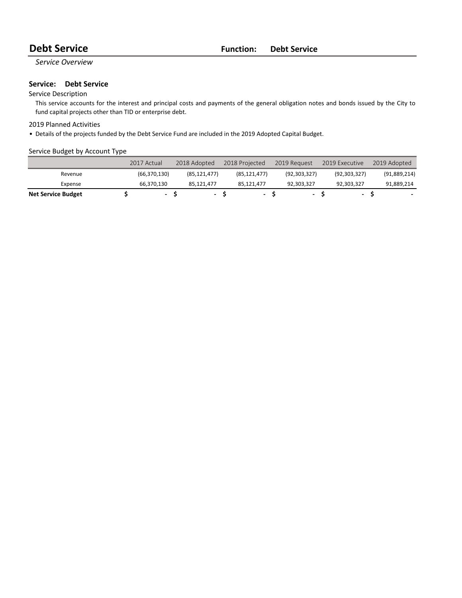## **Debt Service Function: Debt Service**

#### *Service Overview*

#### **Service:** Debt Service

#### Service Description

This service accounts for the interest and principal costs and payments of the general obligation notes and bonds issued by the City to fund capital projects other than TID or enterprise debt.

#### 2019 Planned Activities

• Details of the projects funded by the Debt Service Fund are included in the 2019 Adopted Capital Budget.

#### Service Budget by Account Type

|                           | 2017 Actual              | 2018 Adopted             | 2018 Projected | 2019 Request   |     | 2019 Executive           | 2019 Adopted |
|---------------------------|--------------------------|--------------------------|----------------|----------------|-----|--------------------------|--------------|
| Revenue                   | (66, 370, 130)           | (85.121.477)             | (85, 121, 477) | (92, 303, 327) |     | (92, 303, 327)           | (91,889,214) |
| Expense                   | 66.370.130               | 85.121.477               | 85.121.477     | 92,303,327     |     | 92.303.327               | 91,889,214   |
| <b>Net Service Budget</b> | $\overline{\phantom{a}}$ | $\overline{\phantom{0}}$ | ۰.             |                | - 5 | $\overline{\phantom{a}}$ |              |